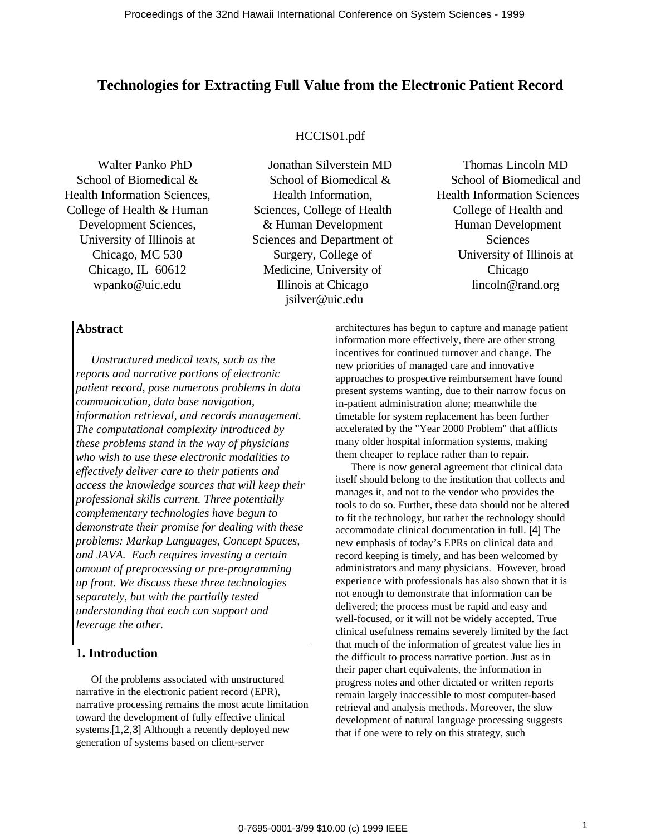# **Technologies for Extracting Full Value from the Electronic Patient Record**

HCCIS01.pdf

Walter Panko PhD School of Biomedical & Health Information Sciences, College of Health & Human Development Sciences, University of Illinois at Chicago, MC 530 Chicago, IL 60612 wpanko@uic.edu

Jonathan Silverstein MD School of Biomedical & Health Information, Sciences, College of Health & Human Development Sciences and Department of Surgery, College of Medicine, University of Illinois at Chicago jsilver@uic.edu

Thomas Lincoln MD School of Biomedical and Health Information Sciences College of Health and Human Development Sciences University of Illinois at Chicago lincoln@rand.org

# **Abstract**

*Unstructured medical texts, such as the reports and narrative portions of electronic patient record, pose numerous problems in data communication, data base navigation, information retrieval, and records management. The computational complexity introduced by these problems stand in the way of physicians who wish to use these electronic modalities to effectively deliver care to their patients and access the knowledge sources that will keep their professional skills current. Three potentially complementary technologies have begun to demonstrate their promise for dealing with these problems: Markup Languages, Concept Spaces, and JAVA. Each requires investing a certain amount of preprocessing or pre-programming up front. We discuss these three technologies separately, but with the partially tested understanding that each can support and leverage the other.*

### **1. Introduction**

Of the problems associated with unstructured narrative in the electronic patient record (EPR), narrative processing remains the most acute limitation toward the development of fully effective clinical systems.[1,2,3] Although a recently deployed new generation of systems based on client-server

architectures has begun to capture and manage patient information more effectively, there are other strong incentives for continued turnover and change. The new priorities of managed care and innovative approaches to prospective reimbursement have found present systems wanting, due to their narrow focus on in-patient administration alone; meanwhile the timetable for system replacement has been further accelerated by the "Year 2000 Problem" that afflicts many older hospital information systems, making them cheaper to replace rather than to repair.

There is now general agreement that clinical data itself should belong to the institution that collects and manages it, and not to the vendor who provides the tools to do so. Further, these data should not be altered to fit the technology, but rather the technology should accommodate clinical documentation in full. [4] The new emphasis of today's EPRs on clinical data and record keeping is timely, and has been welcomed by administrators and many physicians. However, broad experience with professionals has also shown that it is not enough to demonstrate that information can be delivered; the process must be rapid and easy and well-focused, or it will not be widely accepted. True clinical usefulness remains severely limited by the fact that much of the information of greatest value lies in the difficult to process narrative portion. Just as in their paper chart equivalents, the information in progress notes and other dictated or written reports remain largely inaccessible to most computer-based retrieval and analysis methods. Moreover, the slow development of natural language processing suggests that if one were to rely on this strategy, such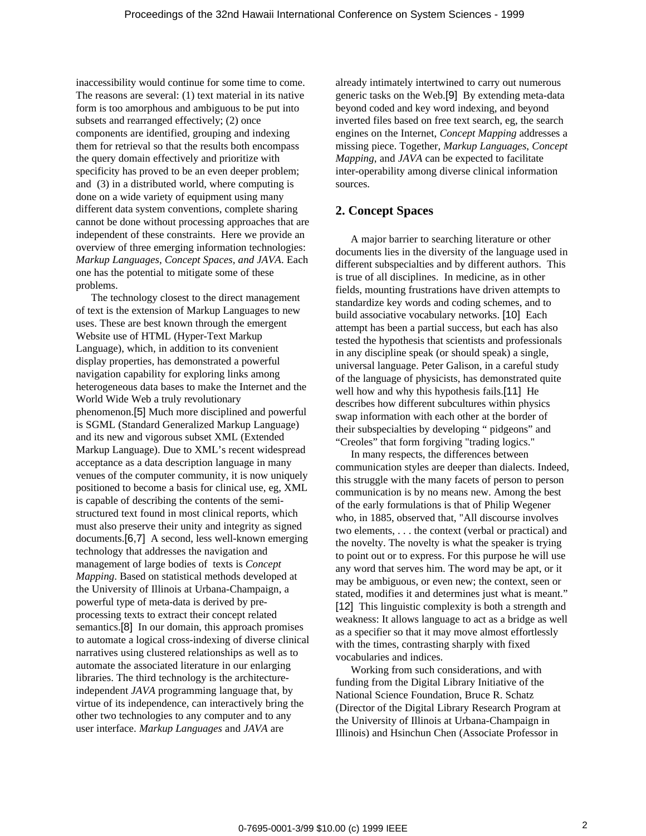inaccessibility would continue for some time to come. The reasons are several: (1) text material in its native form is too amorphous and ambiguous to be put into subsets and rearranged effectively; (2) once components are identified, grouping and indexing them for retrieval so that the results both encompass the query domain effectively and prioritize with specificity has proved to be an even deeper problem; and (3) in a distributed world, where computing is done on a wide variety of equipment using many different data system conventions, complete sharing cannot be done without processing approaches that are independent of these constraints. Here we provide an overview of three emerging information technologies: *Markup Languages, Concept Spaces, and JAVA*. Each one has the potential to mitigate some of these problems.

The technology closest to the direct management of text is the extension of Markup Languages to new uses. These are best known through the emergent Website use of HTML (Hyper-Text Markup Language), which, in addition to its convenient display properties, has demonstrated a powerful navigation capability for exploring links among heterogeneous data bases to make the Internet and the World Wide Web a truly revolutionary phenomenon.[5] Much more disciplined and powerful is SGML (Standard Generalized Markup Language) and its new and vigorous subset XML (Extended Markup Language). Due to XML's recent widespread acceptance as a data description language in many venues of the computer community, it is now uniquely positioned to become a basis for clinical use, eg, XML is capable of describing the contents of the semistructured text found in most clinical reports, which must also preserve their unity and integrity as signed documents.[6,7] A second, less well-known emerging technology that addresses the navigation and management of large bodies of texts is *Concept Mapping*. Based on statistical methods developed at the University of Illinois at Urbana-Champaign, a powerful type of meta-data is derived by preprocessing texts to extract their concept related semantics.[8] In our domain, this approach promises to automate a logical cross-indexing of diverse clinical narratives using clustered relationships as well as to automate the associated literature in our enlarging libraries. The third technology is the architectureindependent *JAVA* programming language that, by virtue of its independence, can interactively bring the other two technologies to any computer and to any user interface. *Markup Languages* and *JAVA* are

already intimately intertwined to carry out numerous generic tasks on the Web.[9] By extending meta-data beyond coded and key word indexing, and beyond inverted files based on free text search, eg, the search engines on the Internet, *Concept Mapping* addresses a missing piece. Together, *Markup Languages*, *Concept Mapping*, and *JAVA* can be expected to facilitate inter-operability among diverse clinical information sources.

### **2. Concept Spaces**

A major barrier to searching literature or other documents lies in the diversity of the language used in different subspecialties and by different authors. This is true of all disciplines. In medicine, as in other fields, mounting frustrations have driven attempts to standardize key words and coding schemes, and to build associative vocabulary networks. [10] Each attempt has been a partial success, but each has also tested the hypothesis that scientists and professionals in any discipline speak (or should speak) a single, universal language. Peter Galison, in a careful study of the language of physicists, has demonstrated quite well how and why this hypothesis fails.[11] He describes how different subcultures within physics swap information with each other at the border of their subspecialties by developing " pidgeons" and "Creoles" that form forgiving "trading logics."

In many respects, the differences between communication styles are deeper than dialects. Indeed, this struggle with the many facets of person to person communication is by no means new. Among the best of the early formulations is that of Philip Wegener who, in 1885, observed that, "All discourse involves two elements, . . . the context (verbal or practical) and the novelty. The novelty is what the speaker is trying to point out or to express. For this purpose he will use any word that serves him. The word may be apt, or it may be ambiguous, or even new; the context, seen or stated, modifies it and determines just what is meant." [12] This linguistic complexity is both a strength and weakness: It allows language to act as a bridge as well as a specifier so that it may move almost effortlessly with the times, contrasting sharply with fixed vocabularies and indices.

Working from such considerations, and with funding from the Digital Library Initiative of the National Science Foundation, Bruce R. Schatz (Director of the Digital Library Research Program at the University of Illinois at Urbana-Champaign in Illinois) and Hsinchun Chen (Associate Professor in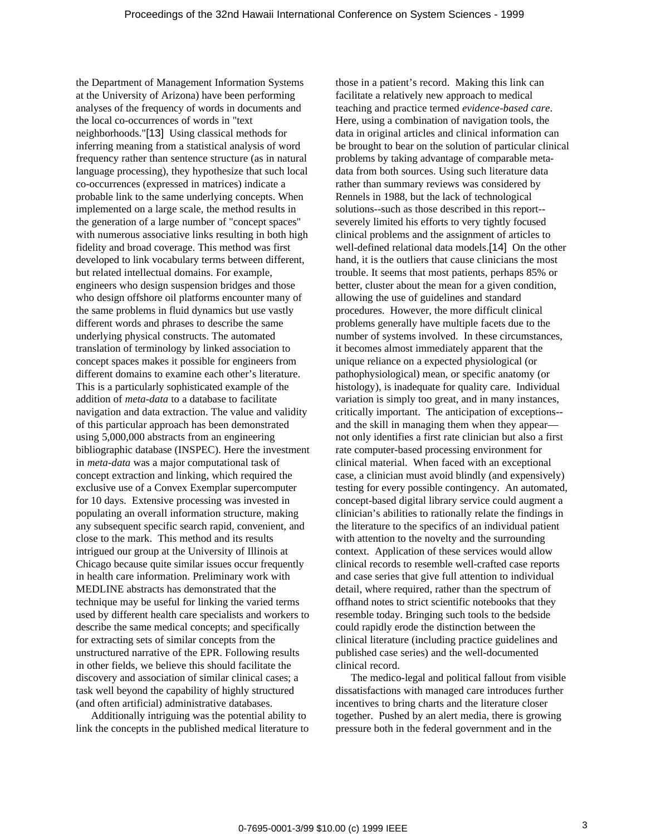the Department of Management Information Systems at the University of Arizona) have been performing analyses of the frequency of words in documents and the local co-occurrences of words in "text neighborhoods."[13] Using classical methods for inferring meaning from a statistical analysis of word frequency rather than sentence structure (as in natural language processing), they hypothesize that such local co-occurrences (expressed in matrices) indicate a probable link to the same underlying concepts. When implemented on a large scale, the method results in the generation of a large number of "concept spaces" with numerous associative links resulting in both high fidelity and broad coverage. This method was first developed to link vocabulary terms between different, but related intellectual domains. For example, engineers who design suspension bridges and those who design offshore oil platforms encounter many of the same problems in fluid dynamics but use vastly different words and phrases to describe the same underlying physical constructs. The automated translation of terminology by linked association to concept spaces makes it possible for engineers from different domains to examine each other's literature. This is a particularly sophisticated example of the addition of *meta-data* to a database to facilitate navigation and data extraction. The value and validity of this particular approach has been demonstrated using 5,000,000 abstracts from an engineering bibliographic database (INSPEC). Here the investment in *meta-data* was a major computational task of concept extraction and linking, which required the exclusive use of a Convex Exemplar supercomputer for 10 days. Extensive processing was invested in populating an overall information structure, making any subsequent specific search rapid, convenient, and close to the mark. This method and its results intrigued our group at the University of Illinois at Chicago because quite similar issues occur frequently in health care information. Preliminary work with MEDLINE abstracts has demonstrated that the technique may be useful for linking the varied terms used by different health care specialists and workers to describe the same medical concepts; and specifically for extracting sets of similar concepts from the unstructured narrative of the EPR. Following results in other fields, we believe this should facilitate the discovery and association of similar clinical cases; a task well beyond the capability of highly structured (and often artificial) administrative databases.

Additionally intriguing was the potential ability to link the concepts in the published medical literature to

those in a patient's record. Making this link can facilitate a relatively new approach to medical teaching and practice termed *evidence-based care*. Here, using a combination of navigation tools, the data in original articles and clinical information can be brought to bear on the solution of particular clinical problems by taking advantage of comparable metadata from both sources. Using such literature data rather than summary reviews was considered by Rennels in 1988, but the lack of technological solutions--such as those described in this report- severely limited his efforts to very tightly focused clinical problems and the assignment of articles to well-defined relational data models.[14] On the other hand, it is the outliers that cause clinicians the most trouble. It seems that most patients, perhaps 85% or better, cluster about the mean for a given condition, allowing the use of guidelines and standard procedures. However, the more difficult clinical problems generally have multiple facets due to the number of systems involved. In these circumstances, it becomes almost immediately apparent that the unique reliance on a expected physiological (or pathophysiological) mean, or specific anatomy (or histology), is inadequate for quality care. Individual variation is simply too great, and in many instances, critically important. The anticipation of exceptions- and the skill in managing them when they appear not only identifies a first rate clinician but also a first rate computer-based processing environment for clinical material. When faced with an exceptional case, a clinician must avoid blindly (and expensively) testing for every possible contingency. An automated, concept-based digital library service could augment a clinician's abilities to rationally relate the findings in the literature to the specifics of an individual patient with attention to the novelty and the surrounding context. Application of these services would allow clinical records to resemble well-crafted case reports and case series that give full attention to individual detail, where required, rather than the spectrum of offhand notes to strict scientific notebooks that they resemble today. Bringing such tools to the bedside could rapidly erode the distinction between the clinical literature (including practice guidelines and published case series) and the well-documented clinical record.

The medico-legal and political fallout from visible dissatisfactions with managed care introduces further incentives to bring charts and the literature closer together. Pushed by an alert media, there is growing pressure both in the federal government and in the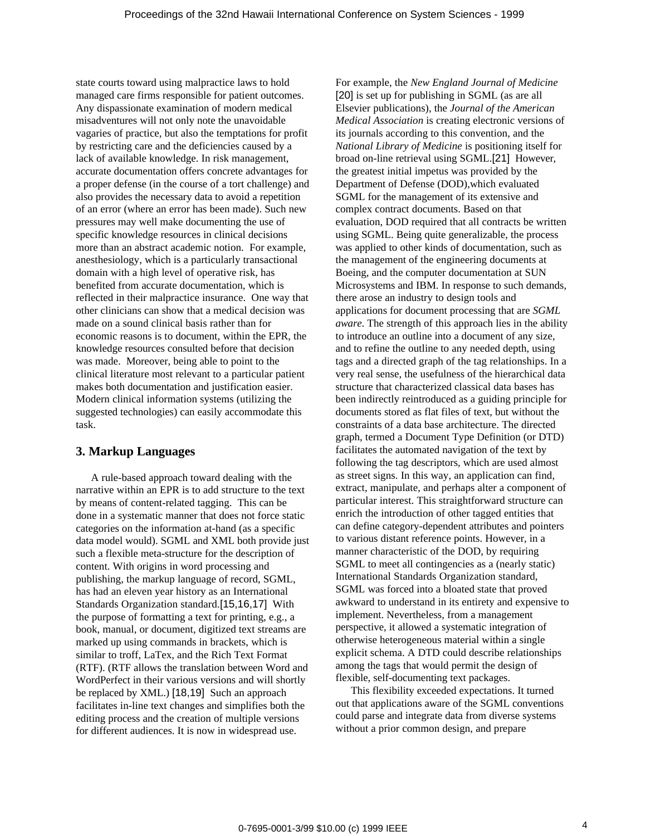state courts toward using malpractice laws to hold managed care firms responsible for patient outcomes. Any dispassionate examination of modern medical misadventures will not only note the unavoidable vagaries of practice, but also the temptations for profit by restricting care and the deficiencies caused by a lack of available knowledge. In risk management, accurate documentation offers concrete advantages for a proper defense (in the course of a tort challenge) and also provides the necessary data to avoid a repetition of an error (where an error has been made). Such new pressures may well make documenting the use of specific knowledge resources in clinical decisions more than an abstract academic notion. For example, anesthesiology, which is a particularly transactional domain with a high level of operative risk, has benefited from accurate documentation, which is reflected in their malpractice insurance. One way that other clinicians can show that a medical decision was made on a sound clinical basis rather than for economic reasons is to document, within the EPR, the knowledge resources consulted before that decision was made. Moreover, being able to point to the clinical literature most relevant to a particular patient makes both documentation and justification easier. Modern clinical information systems (utilizing the suggested technologies) can easily accommodate this task.

### **3. Markup Languages**

A rule-based approach toward dealing with the narrative within an EPR is to add structure to the text by means of content-related tagging. This can be done in a systematic manner that does not force static categories on the information at-hand (as a specific data model would). SGML and XML both provide just such a flexible meta-structure for the description of content. With origins in word processing and publishing, the markup language of record, SGML, has had an eleven year history as an International Standards Organization standard.[15,16,17] With the purpose of formatting a text for printing, e.g., a book, manual, or document, digitized text streams are marked up using commands in brackets, which is similar to troff, LaTex, and the Rich Text Format (RTF). (RTF allows the translation between Word and WordPerfect in their various versions and will shortly be replaced by XML.) [18,19] Such an approach facilitates in-line text changes and simplifies both the editing process and the creation of multiple versions for different audiences. It is now in widespread use.

For example, the *New England Journal of Medicine* [20] is set up for publishing in SGML (as are all Elsevier publications), the *Journal of the American Medical Association* is creating electronic versions of its journals according to this convention, and the *National Library of Medicine* is positioning itself for broad on-line retrieval using SGML.[21] However, the greatest initial impetus was provided by the Department of Defense (DOD),which evaluated SGML for the management of its extensive and complex contract documents. Based on that evaluation, DOD required that all contracts be written using SGML. Being quite generalizable, the process was applied to other kinds of documentation, such as the management of the engineering documents at Boeing, and the computer documentation at SUN Microsystems and IBM. In response to such demands, there arose an industry to design tools and applications for document processing that are *SGML aware*. The strength of this approach lies in the ability to introduce an outline into a document of any size, and to refine the outline to any needed depth, using tags and a directed graph of the tag relationships. In a very real sense, the usefulness of the hierarchical data structure that characterized classical data bases has been indirectly reintroduced as a guiding principle for documents stored as flat files of text, but without the constraints of a data base architecture. The directed graph, termed a Document Type Definition (or DTD) facilitates the automated navigation of the text by following the tag descriptors, which are used almost as street signs. In this way, an application can find, extract, manipulate, and perhaps alter a component of particular interest. This straightforward structure can enrich the introduction of other tagged entities that can define category-dependent attributes and pointers to various distant reference points. However, in a manner characteristic of the DOD, by requiring SGML to meet all contingencies as a (nearly static) International Standards Organization standard, SGML was forced into a bloated state that proved awkward to understand in its entirety and expensive to implement. Nevertheless, from a management perspective, it allowed a systematic integration of otherwise heterogeneous material within a single explicit schema. A DTD could describe relationships among the tags that would permit the design of flexible, self-documenting text packages.

This flexibility exceeded expectations. It turned out that applications aware of the SGML conventions could parse and integrate data from diverse systems without a prior common design, and prepare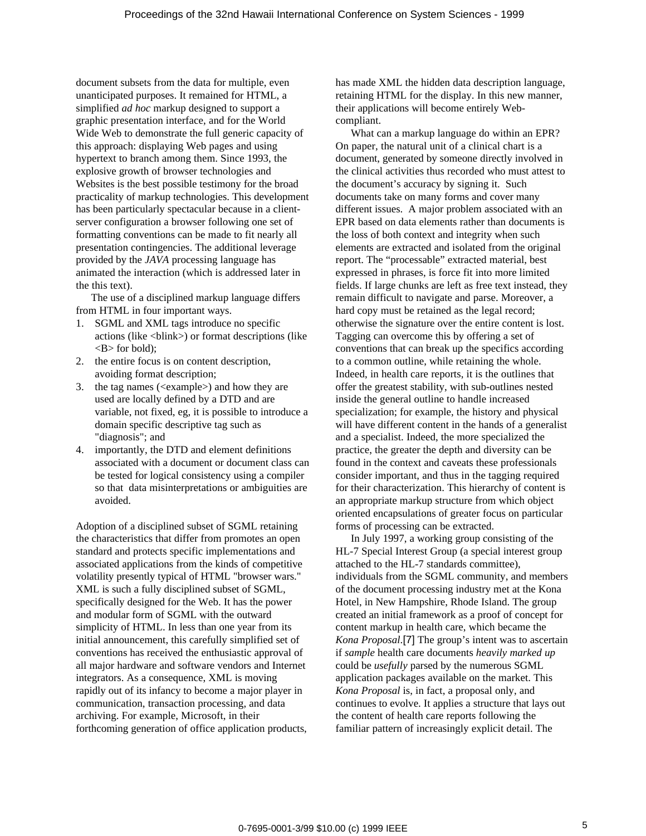document subsets from the data for multiple, even unanticipated purposes. It remained for HTML, a simplified *ad hoc* markup designed to support a graphic presentation interface, and for the World Wide Web to demonstrate the full generic capacity of this approach: displaying Web pages and using hypertext to branch among them. Since 1993, the explosive growth of browser technologies and Websites is the best possible testimony for the broad practicality of markup technologies. This development has been particularly spectacular because in a clientserver configuration a browser following one set of formatting conventions can be made to fit nearly all presentation contingencies. The additional leverage provided by the *JAVA* processing language has animated the interaction (which is addressed later in the this text).

The use of a disciplined markup language differs from HTML in four important ways.

- 1. SGML and XML tags introduce no specific actions (like <blink>) or format descriptions (like <B> for bold);
- 2. the entire focus is on content description, avoiding format description;
- 3. the tag names (<example>) and how they are used are locally defined by a DTD and are variable, not fixed, eg, it is possible to introduce a domain specific descriptive tag such as "diagnosis"; and
- 4. importantly, the DTD and element definitions associated with a document or document class can be tested for logical consistency using a compiler so that data misinterpretations or ambiguities are avoided.

Adoption of a disciplined subset of SGML retaining the characteristics that differ from promotes an open standard and protects specific implementations and associated applications from the kinds of competitive volatility presently typical of HTML "browser wars." XML is such a fully disciplined subset of SGML, specifically designed for the Web. It has the power and modular form of SGML with the outward simplicity of HTML. In less than one year from its initial announcement, this carefully simplified set of conventions has received the enthusiastic approval of all major hardware and software vendors and Internet integrators. As a consequence, XML is moving rapidly out of its infancy to become a major player in communication, transaction processing, and data archiving. For example, Microsoft, in their forthcoming generation of office application products, has made XML the hidden data description language, retaining HTML for the display. In this new manner, their applications will become entirely Webcompliant.

What can a markup language do within an EPR? On paper, the natural unit of a clinical chart is a document, generated by someone directly involved in the clinical activities thus recorded who must attest to the document's accuracy by signing it. Such documents take on many forms and cover many different issues. A major problem associated with an EPR based on data elements rather than documents is the loss of both context and integrity when such elements are extracted and isolated from the original report. The "processable" extracted material, best expressed in phrases, is force fit into more limited fields. If large chunks are left as free text instead, they remain difficult to navigate and parse. Moreover, a hard copy must be retained as the legal record; otherwise the signature over the entire content is lost. Tagging can overcome this by offering a set of conventions that can break up the specifics according to a common outline, while retaining the whole. Indeed, in health care reports, it is the outlines that offer the greatest stability, with sub-outlines nested inside the general outline to handle increased specialization; for example, the history and physical will have different content in the hands of a generalist and a specialist. Indeed, the more specialized the practice, the greater the depth and diversity can be found in the context and caveats these professionals consider important, and thus in the tagging required for their characterization. This hierarchy of content is an appropriate markup structure from which object oriented encapsulations of greater focus on particular forms of processing can be extracted.

In July 1997, a working group consisting of the HL-7 Special Interest Group (a special interest group attached to the HL-7 standards committee), individuals from the SGML community, and members of the document processing industry met at the Kona Hotel, in New Hampshire, Rhode Island. The group created an initial framework as a proof of concept for content markup in health care, which became the *Kona Proposal*.[7] The group's intent was to ascertain if *sample* health care documents *heavily marked up* could be *usefully* parsed by the numerous SGML application packages available on the market. This *Kona Proposal* is, in fact, a proposal only, and continues to evolve. It applies a structure that lays out the content of health care reports following the familiar pattern of increasingly explicit detail. The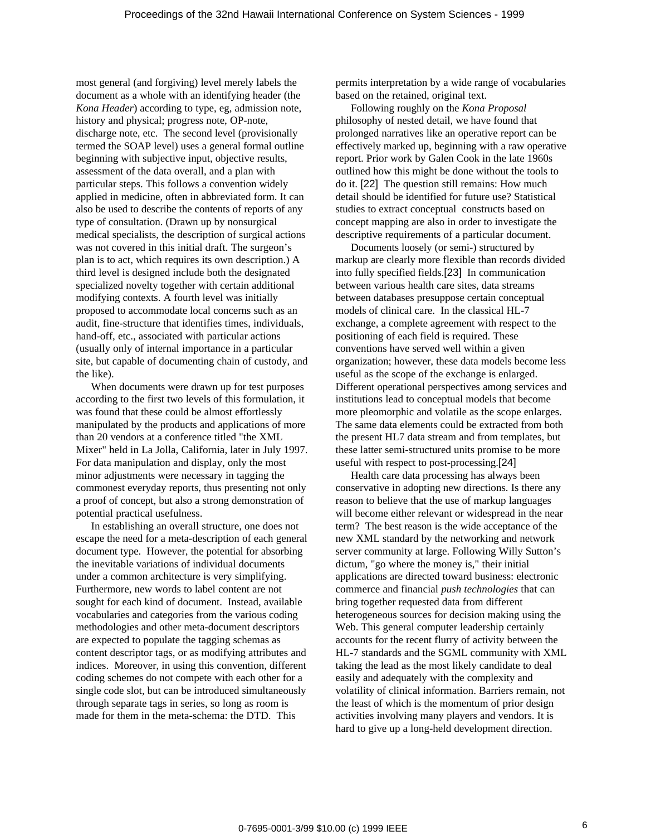most general (and forgiving) level merely labels the document as a whole with an identifying header (the *Kona Header*) according to type, eg, admission note, history and physical; progress note, OP-note, discharge note, etc. The second level (provisionally termed the SOAP level) uses a general formal outline beginning with subjective input, objective results, assessment of the data overall, and a plan with particular steps. This follows a convention widely applied in medicine, often in abbreviated form. It can also be used to describe the contents of reports of any type of consultation. (Drawn up by nonsurgical medical specialists, the description of surgical actions was not covered in this initial draft. The surgeon's plan is to act, which requires its own description.) A third level is designed include both the designated specialized novelty together with certain additional modifying contexts. A fourth level was initially proposed to accommodate local concerns such as an audit, fine-structure that identifies times, individuals, hand-off, etc., associated with particular actions (usually only of internal importance in a particular site, but capable of documenting chain of custody, and the like).

When documents were drawn up for test purposes according to the first two levels of this formulation, it was found that these could be almost effortlessly manipulated by the products and applications of more than 20 vendors at a conference titled "the XML Mixer" held in La Jolla, California, later in July 1997. For data manipulation and display, only the most minor adjustments were necessary in tagging the commonest everyday reports, thus presenting not only a proof of concept, but also a strong demonstration of potential practical usefulness.

In establishing an overall structure, one does not escape the need for a meta-description of each general document type. However, the potential for absorbing the inevitable variations of individual documents under a common architecture is very simplifying. Furthermore, new words to label content are not sought for each kind of document. Instead, available vocabularies and categories from the various coding methodologies and other meta-document descriptors are expected to populate the tagging schemas as content descriptor tags, or as modifying attributes and indices. Moreover, in using this convention, different coding schemes do not compete with each other for a single code slot, but can be introduced simultaneously through separate tags in series, so long as room is made for them in the meta-schema: the DTD. This

permits interpretation by a wide range of vocabularies based on the retained, original text.

Following roughly on the *Kona Proposal* philosophy of nested detail, we have found that prolonged narratives like an operative report can be effectively marked up, beginning with a raw operative report. Prior work by Galen Cook in the late 1960s outlined how this might be done without the tools to do it. [22] The question still remains: How much detail should be identified for future use? Statistical studies to extract conceptual constructs based on concept mapping are also in order to investigate the descriptive requirements of a particular document.

Documents loosely (or semi-) structured by markup are clearly more flexible than records divided into fully specified fields.[23] In communication between various health care sites, data streams between databases presuppose certain conceptual models of clinical care. In the classical HL-7 exchange, a complete agreement with respect to the positioning of each field is required. These conventions have served well within a given organization; however, these data models become less useful as the scope of the exchange is enlarged. Different operational perspectives among services and institutions lead to conceptual models that become more pleomorphic and volatile as the scope enlarges. The same data elements could be extracted from both the present HL7 data stream and from templates, but these latter semi-structured units promise to be more useful with respect to post-processing.[24]

Health care data processing has always been conservative in adopting new directions. Is there any reason to believe that the use of markup languages will become either relevant or widespread in the near term? The best reason is the wide acceptance of the new XML standard by the networking and network server community at large. Following Willy Sutton's dictum, "go where the money is," their initial applications are directed toward business: electronic commerce and financial *push technologies* that can bring together requested data from different heterogeneous sources for decision making using the Web. This general computer leadership certainly accounts for the recent flurry of activity between the HL-7 standards and the SGML community with XML taking the lead as the most likely candidate to deal easily and adequately with the complexity and volatility of clinical information. Barriers remain, not the least of which is the momentum of prior design activities involving many players and vendors. It is hard to give up a long-held development direction.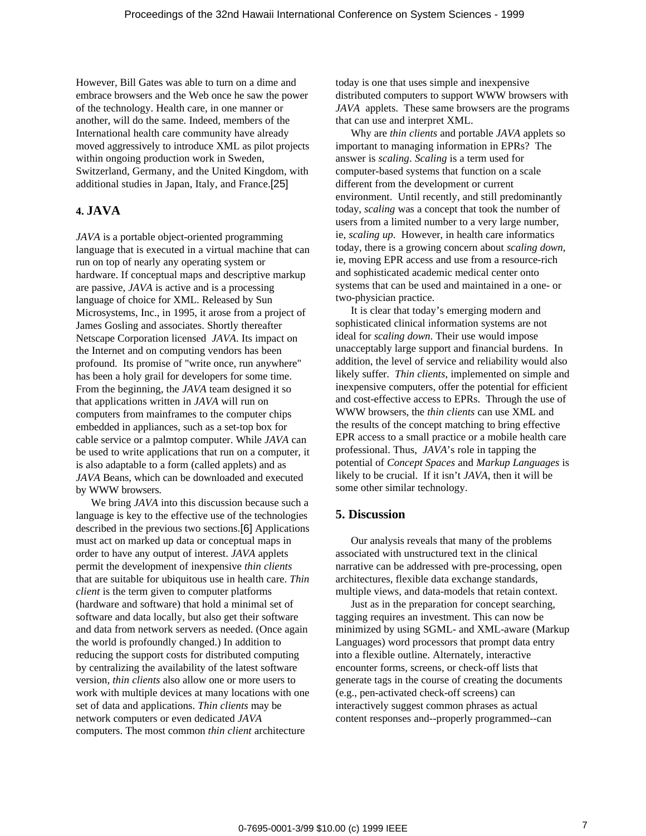However, Bill Gates was able to turn on a dime and embrace browsers and the Web once he saw the power of the technology. Health care, in one manner or another, will do the same. Indeed, members of the International health care community have already moved aggressively to introduce XML as pilot projects within ongoing production work in Sweden, Switzerland, Germany, and the United Kingdom, with additional studies in Japan, Italy, and France.[25]

# **4. JAVA**

*JAVA* is a portable object-oriented programming language that is executed in a virtual machine that can run on top of nearly any operating system or hardware. If conceptual maps and descriptive markup are passive, *JAVA* is active and is a processing language of choice for XML. Released by Sun Microsystems, Inc., in 1995, it arose from a project of James Gosling and associates. Shortly thereafter Netscape Corporation licensed *JAVA*. Its impact on the Internet and on computing vendors has been profound. Its promise of "write once, run anywhere" has been a holy grail for developers for some time. From the beginning, the *JAVA* team designed it so that applications written in *JAVA* will run on computers from mainframes to the computer chips embedded in appliances, such as a set-top box for cable service or a palmtop computer. While *JAVA* can be used to write applications that run on a computer, it is also adaptable to a form (called applets) and as *JAVA* Beans, which can be downloaded and executed by WWW browsers.

We bring *JAVA* into this discussion because such a language is key to the effective use of the technologies described in the previous two sections.[6] Applications must act on marked up data or conceptual maps in order to have any output of interest. *JAVA* applets permit the development of inexpensive *thin clients* that are suitable for ubiquitous use in health care. *Thin client* is the term given to computer platforms (hardware and software) that hold a minimal set of software and data locally, but also get their software and data from network servers as needed. (Once again the world is profoundly changed.) In addition to reducing the support costs for distributed computing by centralizing the availability of the latest software version, *thin clients* also allow one or more users to work with multiple devices at many locations with one set of data and applications. *Thin clients* may be network computers or even dedicated *JAVA* computers. The most common *thin client* architecture

today is one that uses simple and inexpensive distributed computers to support WWW browsers with *JAVA* applets. These same browsers are the programs that can use and interpret XML.

Why are *thin clients* and portable *JAVA* applets so important to managing information in EPRs? The answer is *scaling*. *Scaling* is a term used for computer-based systems that function on a scale different from the development or current environment. Until recently, and still predominantly today, *scaling* was a concept that took the number of users from a limited number to a very large number, ie, *scaling up*. However, in health care informatics today, there is a growing concern about *scaling down*, ie, moving EPR access and use from a resource-rich and sophisticated academic medical center onto systems that can be used and maintained in a one- or two-physician practice.

It is clear that today's emerging modern and sophisticated clinical information systems are not ideal for *scaling down*. Their use would impose unacceptably large support and financial burdens. In addition, the level of service and reliability would also likely suffer. *Thin clients*, implemented on simple and inexpensive computers, offer the potential for efficient and cost-effective access to EPRs. Through the use of WWW browsers, the *thin clients* can use XML and the results of the concept matching to bring effective EPR access to a small practice or a mobile health care professional. Thus, *JAVA*'s role in tapping the potential of *Concept Spaces* and *Markup Languages* is likely to be crucial. If it isn't *JAVA*, then it will be some other similar technology.

# **5. Discussion**

Our analysis reveals that many of the problems associated with unstructured text in the clinical narrative can be addressed with pre-processing, open architectures, flexible data exchange standards, multiple views, and data-models that retain context.

Just as in the preparation for concept searching, tagging requires an investment. This can now be minimized by using SGML- and XML-aware (Markup Languages) word processors that prompt data entry into a flexible outline. Alternately, interactive encounter forms, screens, or check-off lists that generate tags in the course of creating the documents (e.g., pen-activated check-off screens) can interactively suggest common phrases as actual content responses and--properly programmed--can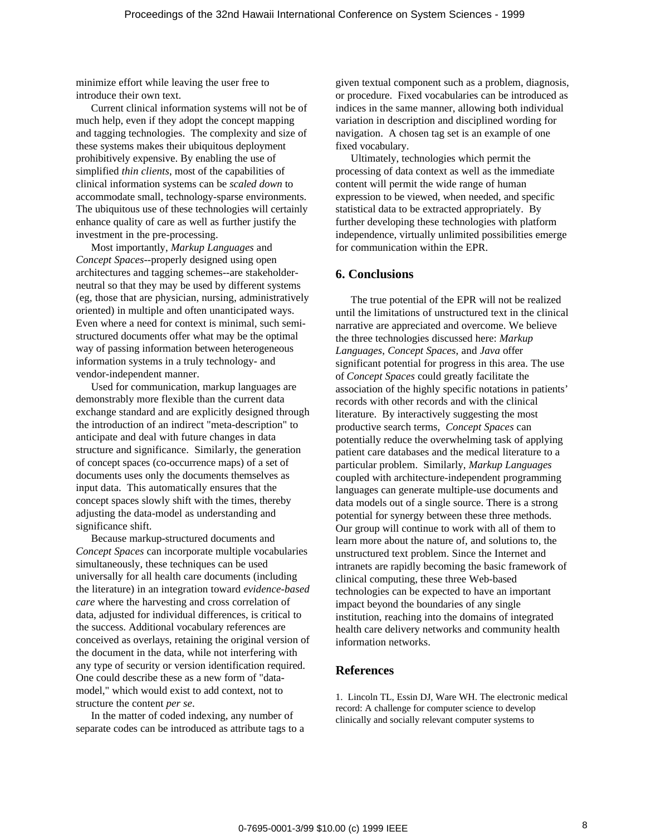minimize effort while leaving the user free to introduce their own text.

Current clinical information systems will not be of much help, even if they adopt the concept mapping and tagging technologies. The complexity and size of these systems makes their ubiquitous deployment prohibitively expensive. By enabling the use of simplified *thin clients*, most of the capabilities of clinical information systems can be *scaled down* to accommodate small, technology-sparse environments. The ubiquitous use of these technologies will certainly enhance quality of care as well as further justify the investment in the pre-processing.

Most importantly, *Markup Languages* and *Concept Spaces*--properly designed using open architectures and tagging schemes--are stakeholderneutral so that they may be used by different systems (eg, those that are physician, nursing, administratively oriented) in multiple and often unanticipated ways. Even where a need for context is minimal, such semistructured documents offer what may be the optimal way of passing information between heterogeneous information systems in a truly technology- and vendor-independent manner.

Used for communication, markup languages are demonstrably more flexible than the current data exchange standard and are explicitly designed through the introduction of an indirect "meta-description" to anticipate and deal with future changes in data structure and significance. Similarly, the generation of concept spaces (co-occurrence maps) of a set of documents uses only the documents themselves as input data. This automatically ensures that the concept spaces slowly shift with the times, thereby adjusting the data-model as understanding and significance shift.

Because markup-structured documents and *Concept Spaces* can incorporate multiple vocabularies simultaneously, these techniques can be used universally for all health care documents (including the literature) in an integration toward *evidence-based care* where the harvesting and cross correlation of data, adjusted for individual differences, is critical to the success. Additional vocabulary references are conceived as overlays, retaining the original version of the document in the data, while not interfering with any type of security or version identification required. One could describe these as a new form of "datamodel," which would exist to add context, not to structure the content *per se*.

In the matter of coded indexing, any number of separate codes can be introduced as attribute tags to a given textual component such as a problem, diagnosis, or procedure. Fixed vocabularies can be introduced as indices in the same manner, allowing both individual variation in description and disciplined wording for navigation. A chosen tag set is an example of one fixed vocabulary.

Ultimately, technologies which permit the processing of data context as well as the immediate content will permit the wide range of human expression to be viewed, when needed, and specific statistical data to be extracted appropriately. By further developing these technologies with platform independence, virtually unlimited possibilities emerge for communication within the EPR.

#### **6. Conclusions**

The true potential of the EPR will not be realized until the limitations of unstructured text in the clinical narrative are appreciated and overcome. We believe the three technologies discussed here: *Markup Languages*, *Concept Spaces*, and *Java* offer significant potential for progress in this area. The use of *Concept Spaces* could greatly facilitate the association of the highly specific notations in patients' records with other records and with the clinical literature. By interactively suggesting the most productive search terms, *Concept Spaces* can potentially reduce the overwhelming task of applying patient care databases and the medical literature to a particular problem. Similarly, *Markup Languages* coupled with architecture-independent programming languages can generate multiple-use documents and data models out of a single source. There is a strong potential for synergy between these three methods. Our group will continue to work with all of them to learn more about the nature of, and solutions to, the unstructured text problem. Since the Internet and intranets are rapidly becoming the basic framework of clinical computing, these three Web-based technologies can be expected to have an important impact beyond the boundaries of any single institution, reaching into the domains of integrated health care delivery networks and community health information networks.

#### **References**

1. Lincoln TL, Essin DJ, Ware WH. The electronic medical record: A challenge for computer science to develop clinically and socially relevant computer systems to